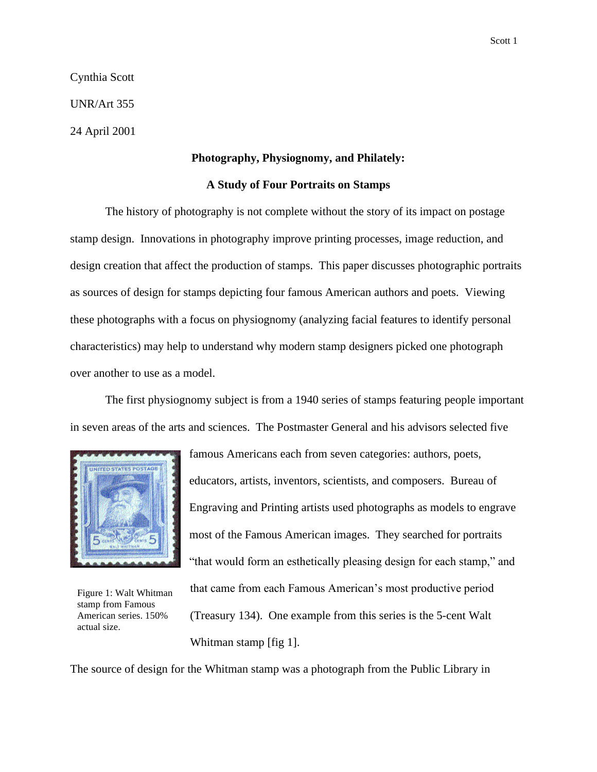Scott 1

Cynthia Scott

UNR/Art 355

24 April 2001

## **Photography, Physiognomy, and Philately:**

## **A Study of Four Portraits on Stamps**

The history of photography is not complete without the story of its impact on postage stamp design. Innovations in photography improve printing processes, image reduction, and design creation that affect the production of stamps. This paper discusses photographic portraits as sources of design for stamps depicting four famous American authors and poets. Viewing these photographs with a focus on physiognomy (analyzing facial features to identify personal characteristics) may help to understand why modern stamp designers picked one photograph over another to use as a model.

The first physiognomy subject is from a 1940 series of stamps featuring people important in seven areas of the arts and sciences. The Postmaster General and his advisors selected five



Figure 1: Walt Whitman stamp from Famous American series. 150%

educators, artists, inventors, scientists, and composers. Bureau of Engraving and Printing artists used photographs as models to engrave most of the Famous American images. They searched for portraits "that would form an esthetically pleasing design for each stamp," and that came from each Famous American's most productive period (Treasury 134). One example from this series is the 5-cent Walt

famous Americans each from seven categories: authors, poets,

The source of design for the Whitman stamp was a photograph from the Public Library in

Whitman stamp [fig 1]. actual size.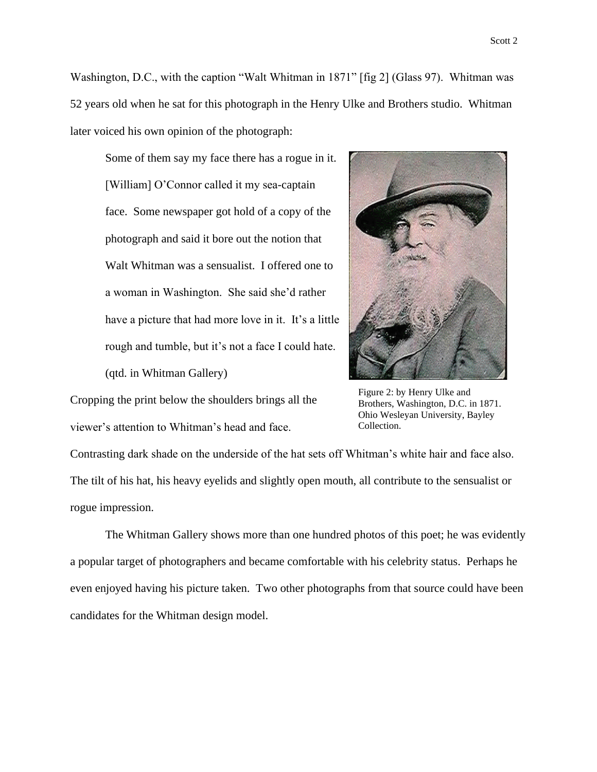Washington, D.C., with the caption "Walt Whitman in 1871" [fig 2] (Glass 97). Whitman was 52 years old when he sat for this photograph in the Henry Ulke and Brothers studio. Whitman later voiced his own opinion of the photograph:

Some of them say my face there has a rogue in it. [William] O'Connor called it my sea-captain face. Some newspaper got hold of a copy of the photograph and said it bore out the notion that Walt Whitman was a sensualist. I offered one to a woman in Washington. She said she'd rather have a picture that had more love in it. It's a little rough and tumble, but it's not a face I could hate. (qtd. in Whitman Gallery)



Cropping the print below the shoulders brings all the viewer's attention to Whitman's head and face.

Figure 2: by Henry Ulke and Brothers, Washington, D.C. in 1871. Ohio Wesleyan University, Bayley Collection.

Contrasting dark shade on the underside of the hat sets off Whitman's white hair and face also. The tilt of his hat, his heavy eyelids and slightly open mouth, all contribute to the sensualist or rogue impression.

The Whitman Gallery shows more than one hundred photos of this poet; he was evidently a popular target of photographers and became comfortable with his celebrity status. Perhaps he even enjoyed having his picture taken. Two other photographs from that source could have been candidates for the Whitman design model.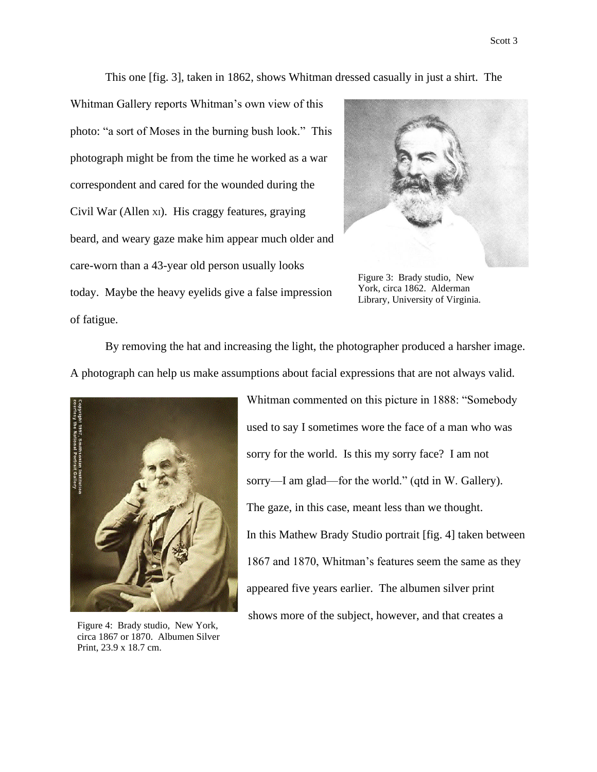This one [fig. 3], taken in 1862, shows Whitman dressed casually in just a shirt. The

Whitman Gallery reports Whitman's own view of this photo: "a sort of Moses in the burning bush look." This photograph might be from the time he worked as a war correspondent and cared for the wounded during the Civil War (Allen XI). His craggy features, graying beard, and weary gaze make him appear much older and care-worn than a 43-year old person usually looks today. Maybe the heavy eyelids give a false impression of fatigue.



Figure 3: Brady studio, New York, circa 1862. Alderman Library, University of Virginia.

By removing the hat and increasing the light, the photographer produced a harsher image. A photograph can help us make assumptions about facial expressions that are not always valid.



Figure 4: Brady studio, New York, circa 1867 or 1870. Albumen Silver Print, 23.9 x 18.7 cm.

Whitman commented on this picture in 1888: "Somebody used to say I sometimes wore the face of a man who was sorry for the world. Is this my sorry face? I am not sorry—I am glad—for the world." (qtd in W. Gallery). The gaze, in this case, meant less than we thought. In this Mathew Brady Studio portrait [fig. 4] taken between 1867 and 1870, Whitman's features seem the same as they appeared five years earlier. The albumen silver print shows more of the subject, however, and that creates a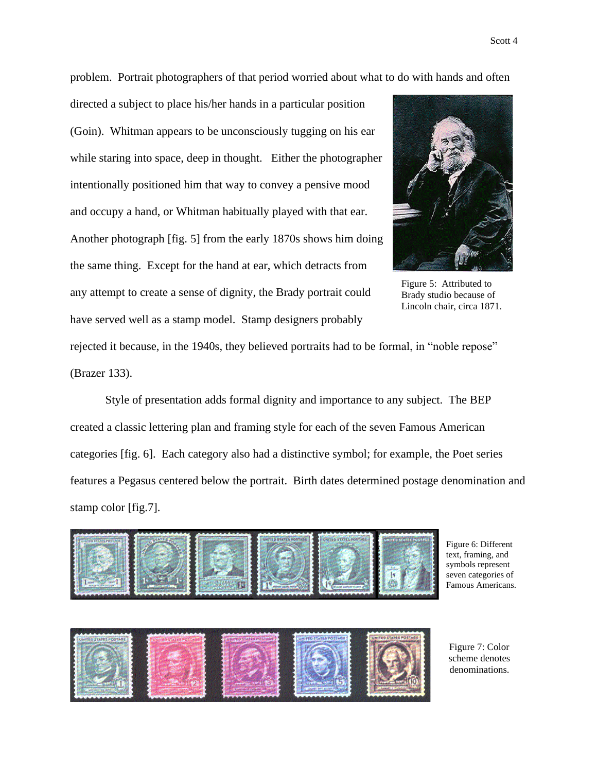problem. Portrait photographers of that period worried about what to do with hands and often

directed a subject to place his/her hands in a particular position (Goin). Whitman appears to be unconsciously tugging on his ear while staring into space, deep in thought. Either the photographer intentionally positioned him that way to convey a pensive mood and occupy a hand, or Whitman habitually played with that ear. Another photograph [fig. 5] from the early 1870s shows him doing the same thing. Except for the hand at ear, which detracts from any attempt to create a sense of dignity, the Brady portrait could have served well as a stamp model. Stamp designers probably



Figure 5: Attributed to Brady studio because of Lincoln chair, circa 1871.

rejected it because, in the 1940s, they believed portraits had to be formal, in "noble repose" (Brazer 133).

Style of presentation adds formal dignity and importance to any subject. The BEP created a classic lettering plan and framing style for each of the seven Famous American categories [fig. 6]. Each category also had a distinctive symbol; for example, the Poet series features a Pegasus centered below the portrait. Birth dates determined postage denomination and stamp color [fig.7].



Figure 6: Different text, framing, and symbols represent seven categories of Famous Americans.



Figure 7: Color scheme denotes denominations.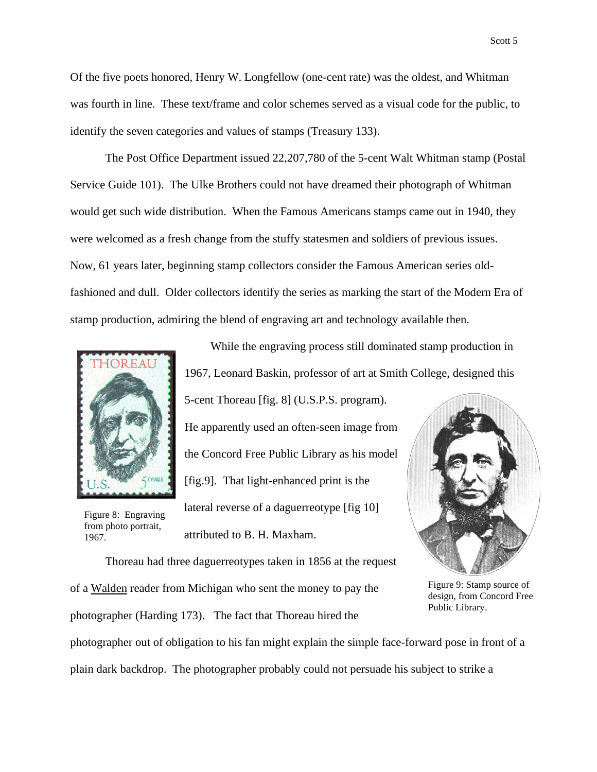Of the five poets honored, Henry W. Longfellow (one-cent rate) was the oldest, and Whitman was fourth in line. These text/frame and color schemes served as a visual code for the public, to identify the seven categories and values of stamps (Treasury 133).

The Post Office Department issued 22,207,780 of the 5-cent Walt Whitman stamp (Postal Service Guide 101). The Ulke Brothers could not have dreamed their photograph of Whitman would get such wide distribution. When the Famous Americans stamps came out in 1940, they were welcomed as a fresh change from the stuffy statesmen and soldiers of previous issues. Now, 61 years later, beginning stamp collectors consider the Famous American series oldfashioned and dull. Older collectors identify the series as marking the start of the Modern Era of stamp production, admiring the blend of engraving art and technology available then.



Figure 8: Engraving from photo portrait, 1967.

While the engraving process still dominated stamp production in 1967, Leonard Baskin, professor of art at Smith College, designed this

5-cent Thoreau [fig. 8] (U.S.P.S. program). He apparently used an often-seen image from the Concord Free Public Library as his model [fig.9]. That light-enhanced print is the lateral reverse of a daguerreotype [fig 10] attributed to B. H. Maxham.



Thoreau had three daguerreotypes taken in 1856 at the request of a Walden reader from Michigan who sent the money to pay the photographer (Harding 173). The fact that Thoreau hired the photographer out of obligation to his fan might explain the simple face-forward pose in front of a Public Library.

plain dark backdrop. The photographer probably could not persuade his subject to strike a

Scott 5

Figure 9: Stamp source of design, from Concord Free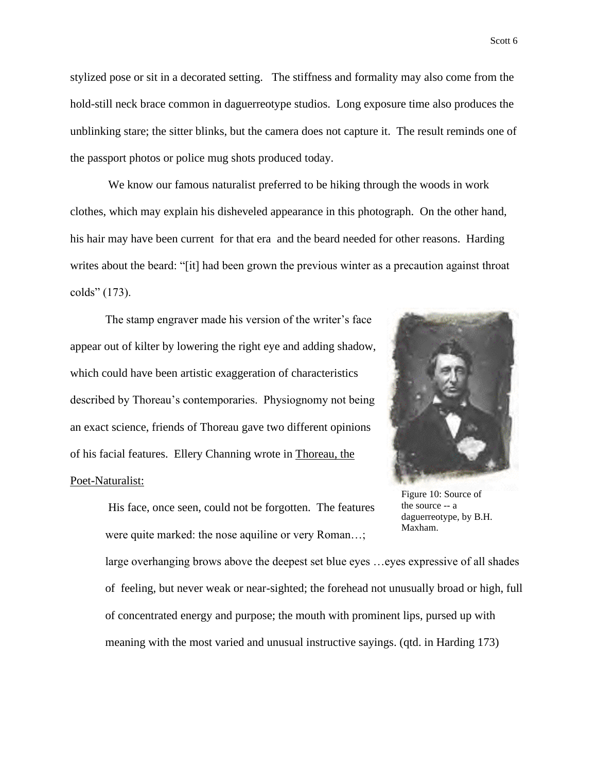stylized pose or sit in a decorated setting. The stiffness and formality may also come from the hold-still neck brace common in daguerreotype studios. Long exposure time also produces the unblinking stare; the sitter blinks, but the camera does not capture it. The result reminds one of the passport photos or police mug shots produced today.

We know our famous naturalist preferred to be hiking through the woods in work clothes, which may explain his disheveled appearance in this photograph. On the other hand, his hair may have been current for that era and the beard needed for other reasons. Harding writes about the beard: "[it] had been grown the previous winter as a precaution against throat colds" (173).

The stamp engraver made his version of the writer's face appear out of kilter by lowering the right eye and adding shadow, which could have been artistic exaggeration of characteristics described by Thoreau's contemporaries. Physiognomy not being an exact science, friends of Thoreau gave two different opinions of his facial features. Ellery Channing wrote in Thoreau, the Poet-Naturalist:

> His face, once seen, could not be forgotten. The features were quite marked: the nose aquiline or very Roman…;

Figure 10: Source of the source -- a daguerreotype, by B.H. Maxham.

large overhanging brows above the deepest set blue eyes …eyes expressive of all shades of feeling, but never weak or near-sighted; the forehead not unusually broad or high, full of concentrated energy and purpose; the mouth with prominent lips, pursed up with meaning with the most varied and unusual instructive sayings. (qtd. in Harding 173)

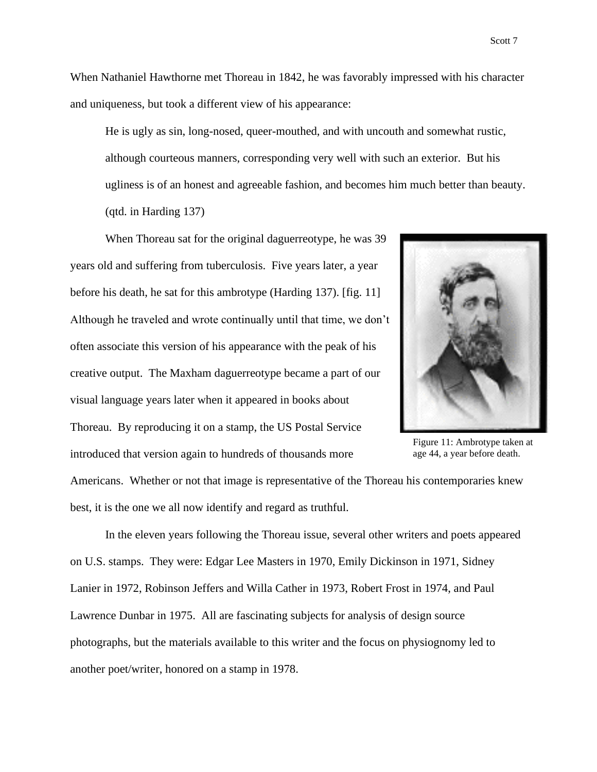When Nathaniel Hawthorne met Thoreau in 1842, he was favorably impressed with his character and uniqueness, but took a different view of his appearance:

He is ugly as sin, long-nosed, queer-mouthed, and with uncouth and somewhat rustic, although courteous manners, corresponding very well with such an exterior. But his ugliness is of an honest and agreeable fashion, and becomes him much better than beauty. (qtd. in Harding 137)

When Thoreau sat for the original daguerreotype, he was 39 years old and suffering from tuberculosis. Five years later, a year before his death, he sat for this ambrotype (Harding 137). [fig. 11] Although he traveled and wrote continually until that time, we don't often associate this version of his appearance with the peak of his creative output. The Maxham daguerreotype became a part of our visual language years later when it appeared in books about Thoreau. By reproducing it on a stamp, the US Postal Service introduced that version again to hundreds of thousands more



Figure 11: Ambrotype taken at age 44, a year before death.

Americans. Whether or not that image is representative of the Thoreau his contemporaries knew best, it is the one we all now identify and regard as truthful.

In the eleven years following the Thoreau issue, several other writers and poets appeared on U.S. stamps. They were: Edgar Lee Masters in 1970, Emily Dickinson in 1971, Sidney Lanier in 1972, Robinson Jeffers and Willa Cather in 1973, Robert Frost in 1974, and Paul Lawrence Dunbar in 1975. All are fascinating subjects for analysis of design source photographs, but the materials available to this writer and the focus on physiognomy led to another poet/writer, honored on a stamp in 1978.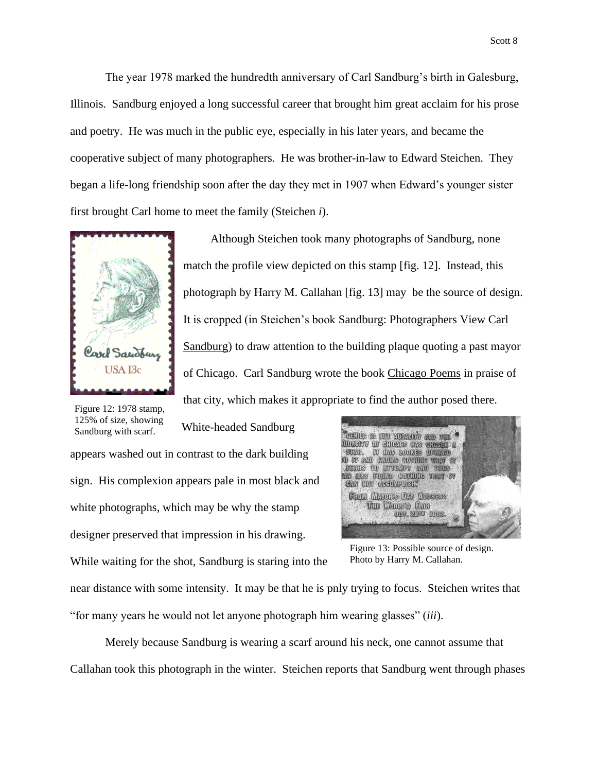The year 1978 marked the hundredth anniversary of Carl Sandburg's birth in Galesburg, Illinois. Sandburg enjoyed a long successful career that brought him great acclaim for his prose and poetry. He was much in the public eye, especially in his later years, and became the cooperative subject of many photographers. He was brother-in-law to Edward Steichen. They began a life-long friendship soon after the day they met in 1907 when Edward's younger sister first brought Carl home to meet the family (Steichen *i*).



Although Steichen took many photographs of Sandburg, none match the profile view depicted on this stamp [fig. 12]. Instead, this photograph by Harry M. Callahan [fig. 13] may be the source of design. It is cropped (in Steichen's book Sandburg: Photographers View Carl Sandburg) to draw attention to the building plaque quoting a past mayor of Chicago. Carl Sandburg wrote the book Chicago Poems in praise of that city, which makes it appropriate to find the author posed there.

Figure 12: 1978 stamp, 125% of size, showing Sandburg with scarf.

White-headed Sandburg

appears washed out in contrast to the dark building sign. His complexion appears pale in most black and white photographs, which may be why the stamp designer preserved that impression in his drawing. While waiting for the shot, Sandburg is staring into the



Figure 13: Possible source of design. Photo by Harry M. Callahan.

near distance with some intensity. It may be that he is pnly trying to focus. Steichen writes that "for many years he would not let anyone photograph him wearing glasses" (*iii*).

Merely because Sandburg is wearing a scarf around his neck, one cannot assume that Callahan took this photograph in the winter. Steichen reports that Sandburg went through phases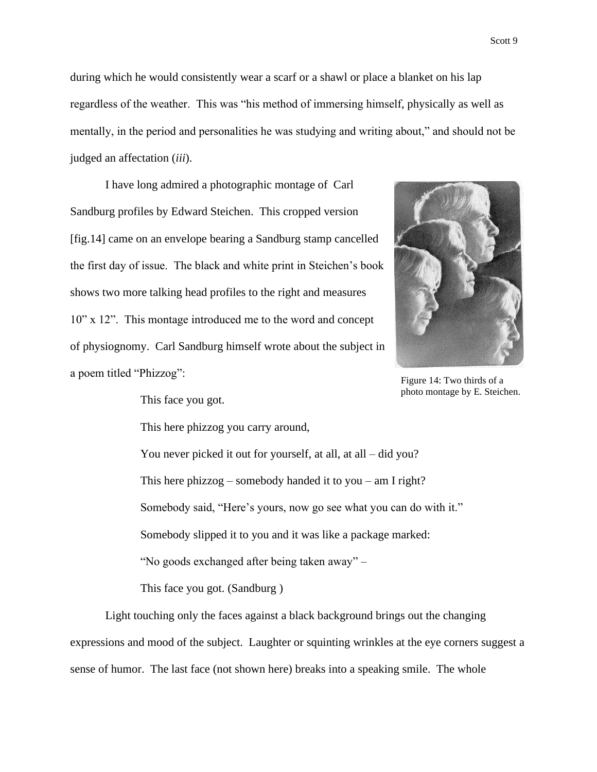during which he would consistently wear a scarf or a shawl or place a blanket on his lap regardless of the weather. This was "his method of immersing himself, physically as well as mentally, in the period and personalities he was studying and writing about," and should not be judged an affectation (*iii*).

I have long admired a photographic montage of Carl Sandburg profiles by Edward Steichen. This cropped version [fig.14] came on an envelope bearing a Sandburg stamp cancelled the first day of issue. The black and white print in Steichen's book shows two more talking head profiles to the right and measures 10" x 12". This montage introduced me to the word and concept of physiognomy. Carl Sandburg himself wrote about the subject in a poem titled "Phizzog":



Figure 14: Two thirds of a photo montage by E. Steichen.

This face you got.

This here phizzog you carry around,

You never picked it out for yourself, at all, at all – did you? This here phizzog – somebody handed it to you – am I right? Somebody said, "Here's yours, now go see what you can do with it." Somebody slipped it to you and it was like a package marked: "No goods exchanged after being taken away" –

This face you got. (Sandburg )

Light touching only the faces against a black background brings out the changing expressions and mood of the subject. Laughter or squinting wrinkles at the eye corners suggest a sense of humor. The last face (not shown here) breaks into a speaking smile. The whole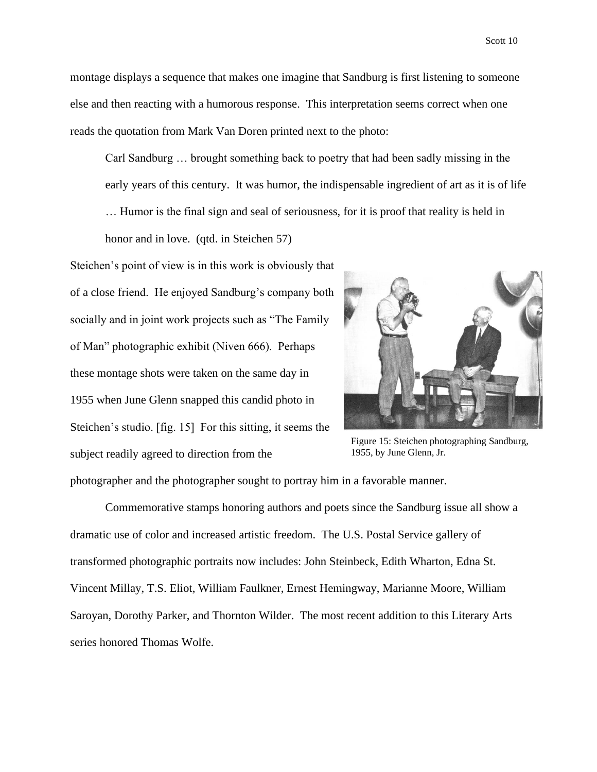Scott 10

montage displays a sequence that makes one imagine that Sandburg is first listening to someone else and then reacting with a humorous response. This interpretation seems correct when one reads the quotation from Mark Van Doren printed next to the photo:

Carl Sandburg … brought something back to poetry that had been sadly missing in the early years of this century. It was humor, the indispensable ingredient of art as it is of life … Humor is the final sign and seal of seriousness, for it is proof that reality is held in

honor and in love. (qtd. in Steichen 57)

Steichen's point of view is in this work is obviously that of a close friend. He enjoyed Sandburg's company both socially and in joint work projects such as "The Family of Man" photographic exhibit (Niven 666). Perhaps these montage shots were taken on the same day in 1955 when June Glenn snapped this candid photo in Steichen's studio. [fig. 15] For this sitting, it seems the subject readily agreed to direction from the



Figure 15: Steichen photographing Sandburg, 1955, by June Glenn, Jr.

photographer and the photographer sought to portray him in a favorable manner.

Commemorative stamps honoring authors and poets since the Sandburg issue all show a dramatic use of color and increased artistic freedom. The U.S. Postal Service gallery of transformed photographic portraits now includes: John Steinbeck, Edith Wharton, Edna St. Vincent Millay, T.S. Eliot, William Faulkner, Ernest Hemingway, Marianne Moore, William Saroyan, Dorothy Parker, and Thornton Wilder. The most recent addition to this Literary Arts series honored Thomas Wolfe.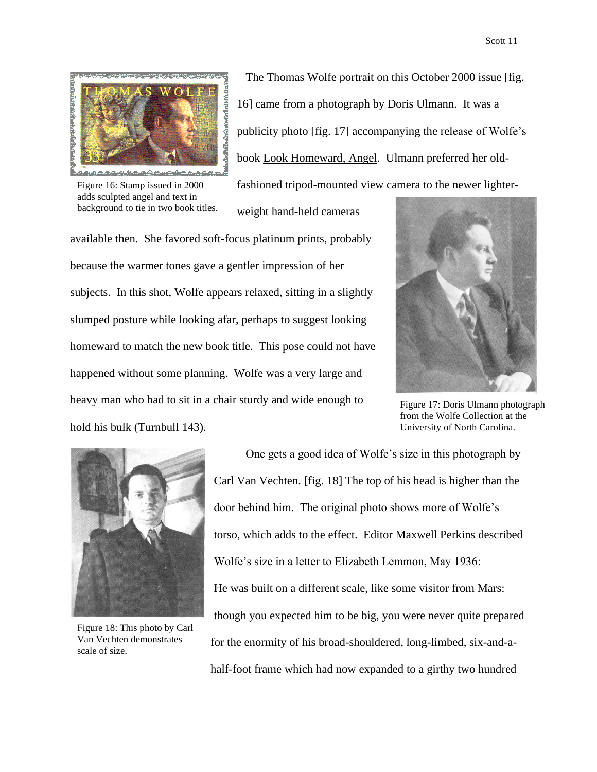

The Thomas Wolfe portrait on this October 2000 issue [fig. 16] came from a photograph by Doris Ulmann. It was a publicity photo [fig. 17] accompanying the release of Wolfe's book Look Homeward, Angel. Ulmann preferred her oldfashioned tripod-mounted view camera to the newer lighter-

weight hand-held cameras

Figure 16: Stamp issued in 2000 adds sculpted angel and text in background to tie in two book titles.

available then. She favored soft-focus platinum prints, probably because the warmer tones gave a gentler impression of her subjects. In this shot, Wolfe appears relaxed, sitting in a slightly slumped posture while looking afar, perhaps to suggest looking homeward to match the new book title. This pose could not have happened without some planning. Wolfe was a very large and heavy man who had to sit in a chair sturdy and wide enough to hold his bulk (Turnbull 143).



Figure 17: Doris Ulmann photograph from the Wolfe Collection at the University of North Carolina.



Figure 18: This photo by Carl Van Vechten demonstrates scale of size.

One gets a good idea of Wolfe's size in this photograph by Carl Van Vechten. [fig. 18] The top of his head is higher than the door behind him. The original photo shows more of Wolfe's torso, which adds to the effect. Editor Maxwell Perkins described Wolfe's size in a letter to Elizabeth Lemmon, May 1936: He was built on a different scale, like some visitor from Mars: though you expected him to be big, you were never quite prepared for the enormity of his broad-shouldered, long-limbed, six-and-ahalf-foot frame which had now expanded to a girthy two hundred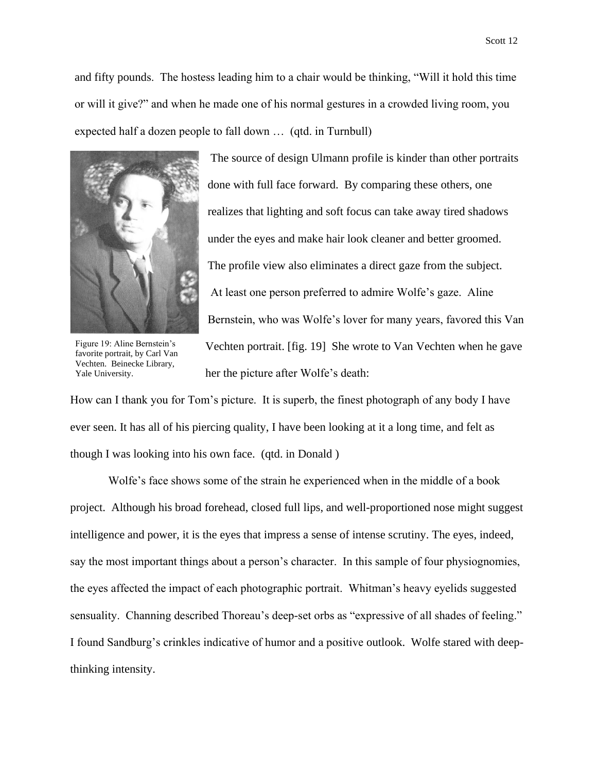and fifty pounds. The hostess leading him to a chair would be thinking, "Will it hold this time or will it give?" and when he made one of his normal gestures in a crowded living room, you expected half a dozen people to fall down … (qtd. in Turnbull)



Figure 19: Aline Bernstein's favorite portrait, by Carl Van Vechten. Beinecke Library, Yale University.

The source of design Ulmann profile is kinder than other portraits done with full face forward. By comparing these others, one realizes that lighting and soft focus can take away tired shadows under the eyes and make hair look cleaner and better groomed. The profile view also eliminates a direct gaze from the subject. At least one person preferred to admire Wolfe's gaze. Aline Bernstein, who was Wolfe's lover for many years, favored this Van Vechten portrait. [fig. 19] She wrote to Van Vechten when he gave her the picture after Wolfe's death:

How can I thank you for Tom's picture. It is superb, the finest photograph of any body I have ever seen. It has all of his piercing quality, I have been looking at it a long time, and felt as though I was looking into his own face. (qtd. in Donald )

Wolfe's face shows some of the strain he experienced when in the middle of a book project. Although his broad forehead, closed full lips, and well-proportioned nose might suggest intelligence and power, it is the eyes that impress a sense of intense scrutiny. The eyes, indeed, say the most important things about a person's character. In this sample of four physiognomies, the eyes affected the impact of each photographic portrait. Whitman's heavy eyelids suggested sensuality. Channing described Thoreau's deep-set orbs as "expressive of all shades of feeling." I found Sandburg's crinkles indicative of humor and a positive outlook. Wolfe stared with deepthinking intensity.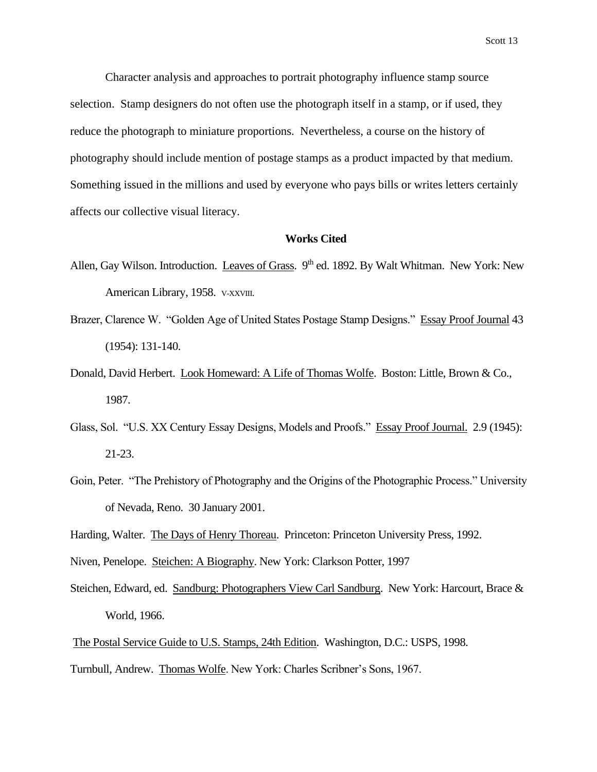Character analysis and approaches to portrait photography influence stamp source selection. Stamp designers do not often use the photograph itself in a stamp, or if used, they reduce the photograph to miniature proportions. Nevertheless, a course on the history of photography should include mention of postage stamps as a product impacted by that medium. Something issued in the millions and used by everyone who pays bills or writes letters certainly affects our collective visual literacy.

## **Works Cited**

- Allen, Gay Wilson. Introduction. Leaves of Grass. 9<sup>th</sup> ed. 1892. By Walt Whitman. New York: New American Library, 1958. v-XXVIII.
- Brazer, Clarence W. "Golden Age of United States Postage Stamp Designs." Essay Proof Journal 43 (1954): 131-140.
- Donald, David Herbert. Look Homeward: A Life of Thomas Wolfe. Boston: Little, Brown & Co., 1987.
- Glass, Sol. "U.S. XX Century Essay Designs, Models and Proofs." Essay Proof Journal. 2.9 (1945): 21-23.
- Goin, Peter. "The Prehistory of Photography and the Origins of the Photographic Process." University of Nevada, Reno. 30 January 2001.
- Harding, Walter. The Days of Henry Thoreau. Princeton: Princeton University Press, 1992.
- Niven, Penelope. Steichen: A Biography. New York: Clarkson Potter, 1997
- Steichen, Edward, ed. Sandburg: Photographers View Carl Sandburg. New York: Harcourt, Brace & World, 1966.

The Postal Service Guide to U.S. Stamps, 24th Edition. Washington, D.C.: USPS, 1998.

Turnbull, Andrew. Thomas Wolfe. New York: Charles Scribner's Sons, 1967.